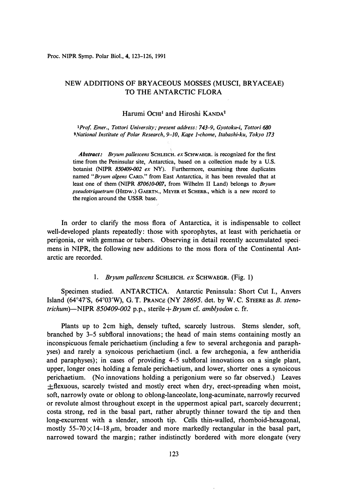**Proc. NIPR Symp. Polar Biol., 4, 123-126, 1991** 

# NEW ADDITIONS OF BRYACEOUS MOSSES (MUSCI, BRYACEAE) TO THE ANTARCTIC FLORA

## Harumi Ocm**<sup>1</sup>**and Hiroshi KANDA**<sup>2</sup>**

*lProf Emer., Tottori University; present address: 743-9, Gyotoku-i, Tottori 680 2National Institute of Polar Research, 9-10, Kage 1-chome, Itabashi-ku, Tokyo 173* 

*Abstract: Bryum pallescens* **SCHLEICH.** *ex* **ScHW AEGR. is recognized for the first time from the Peninsular site, Antarctica, based on a collection made by a U.S. botanist (NIPR** *850409-002 ex* **NY). Furthermore, examining three duplicates named** *"Bryum a/gens* **CARD." from East Antarctica, it has been revealed that at least one of them (NIPR** *870610-007,* **from Wilhelm II Land) belongs to** *Bryum pseudotriquetrum* **(HEow.) GAERTN., MEYER et SCHERB., which is a new record to the region around the USSR base.** 

In order to clarify the moss flora of Antarctica, it is indispensable to collect well-developed plants repeatedly: those with sporophytes, at least with perichaetia or perigonia, or with gemmae or tubers. Observing in detail recently accumulated specimens in **NIPR,** the following new additions to the moss flora of the Continental Antarctic are recorded.

#### 1. *Bryum pallescens* SCHLEICH. *ex* SCHWAEGR. (Fig. 1)

Specimen studied. ANTARCTICA. Antarctic Peninsula: Short Cut I., Anvers Island (64° 47'S, 64° 03'W), G. T. PRANCE (NY *28695.* det. by W. C. STEERE as *B. stenotrichum)-NIPR 850409-002* p.p., *sterile+Bryum* cf. *amblyodon* c. fr.

Plants up to 2cm high, densely tufted, scarcely lustrous. Stems slender, soft, branched by 3-5 subfloral innovations; the head of main stems containing mostly an inconspicuous female perichaetium (including a few to several archegonia and paraphyses) and rarely a synoicous perichaetium (incl. a few archegonia, a few antheridia and paraphyses); in cases of providing 4-5 subfloral innovations on a single plant, upper, longer ones holding a female perichaetium, and lower, shorter ones a synoicous perichaetium. (No innovations holding a perigonium were so far observed.) Leaves  $\pm$ flexuous, scarcely twisted and mostly erect when dry, erect-spreading when moist, soft, narrowly ovate or oblong to oblong-lanceolate, long-acuminate, narrowly recurved or revolute almost throughout except in the uppermost apical part, scarcely decurrent; costa strong, red in the basal part, rather abruptly thinner toward the tip and then long-excurrent with a slender, smooth tip. Cells thin-walled, rhomboid-hexagonal, mostly 55-70  $\times$  14-18  $\mu$ m, broader and more markedly rectangular in the basal part, narrowed toward the margin; rather indistinctly bordered with more elongate (very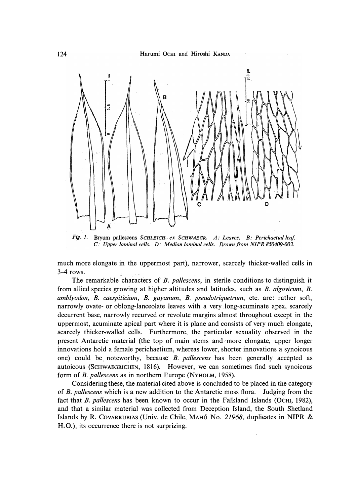

*Fig. J.* Bryum pallescens *SCHLEICH. ex ScHWAEGR. A: Leaves. B: Perichaetial leaf. C: Upper lamina/ cells. D: Median lamina/ cells. Drawn from NTPR 850409-002.* 

**much more elongate in the uppermost part), narrower, scarcely thicker-walled cells in 3-4 rows.** 

**The remarkable characters of** *B. pallescens,* **in sterile conditions to distinguish it from allied species growing at higher altitudes and latitudes, such as** *B. algovicum, B. amblyodon, B. caespiticium, B. gayanum, B. pseudotriquetrum,* **etc. are: rather soft,**  narrowly ovate- or oblong-lanceolate leaves with a very long-acuminate apex, scarcely **decurrent base, narrowly recurved or revolute margins almost throughout except in the uppermost, acuminate apical part where it is plane and consists of very much elongate, scarcely thicker-walled cells. Furthermore, the particular sexuality observed in the present Antarctic material (the top of main stems and more elongate, upper longer innovations hold a female perichaetium, whereas lower, shorter innovations a synoicous one) could be noteworthy, because,** *B. pallescens* **has been generally accepted as autoicous (SCHWAEGRICHEN, 1816). However, we can sometimes find such synoicous form of** *B. pallescens* **asin northern Europe (***N***YHOLM, 1958).** 

**Considering these, the material cited above is concluded to be placed in the category of** *B. pallescens* **which is a new addition to the Antarctic moss flora. Judging from the fact that** *B. pallescens* **has been known to occur in the Falkland Islands (OcHI, 1982), and that a similar material was collected from Deception Island, the South Shetland Islands by R. Cov ARRUBIAS (Univ. de Chile, MAHU** *N***o.** *21968,* **duplicates in NIPR & H.O.)**> **its occurrence there is not surprizing.**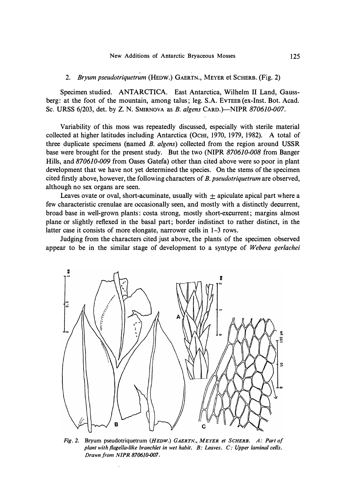### 2. *Bryum pseudotriquetrum* (HEDW.) GAERTN., MEYER et SCHERB. (Fig. 2)

Specimen studied. ANTARCTICA. East Antarctica, Wilhelm II Land, Gaussberg: at the foot of the mountain, among talus; leg. S.A. EvTEEB (ex-Inst. Bot. Acad. **Sc. URSS** 6/203, det. by **Z. N. SMIRNOVA** as *B. a/gens* **CARD.)-NIPR** *870610-007.* 

Variability of this moss was repeatedly discussed, especially with sterile material collected at higher latitudes including Antarctica. (OcHI, i970, 1979, 1982). A total of three duplicate specimens (named *B. a/gens)* collected from the region around **USSR**  base were brought for the present study. But the two **(NIPR** *870610-008* from Banger Hills, and 870610-009 from Oases Gatefa) other than cited above were so poor in plant development that we have not yet determined the species. On the stems of the specimen cited firstly above, however, the following characters of *B. pseudotriquetrum* are observed, although no sex organs are seen.

Leaves ovate or oval, short-acuminate, usually with  $\pm$  apiculate apical part where a few characteristic crenulae are occasionally seen, and mostly with a distinctly decurrent, broad base in well-grown plants: costa strong, mostly short-excurrent; margins almost plane or slightly reflexed in the basal part; border indistinct to rather distinct, in the latter case it consists of more elongate, narrower cells in 1-3 rows.

Judging from the characters cited just above, the plants of the specimen observed appear to be in the similar stage of development to a syntype of *Webera gerlachei* 



*Fig. 2.* **Bryum pseudotriquetrum** *(HEDW.) GAERTN., MEYER et SCHERB. A: Part of plant with flagella-like branchlet in wet habit. B: Leaves. C: Upper laminal cells. Drawn from NIPR 870610-007.*